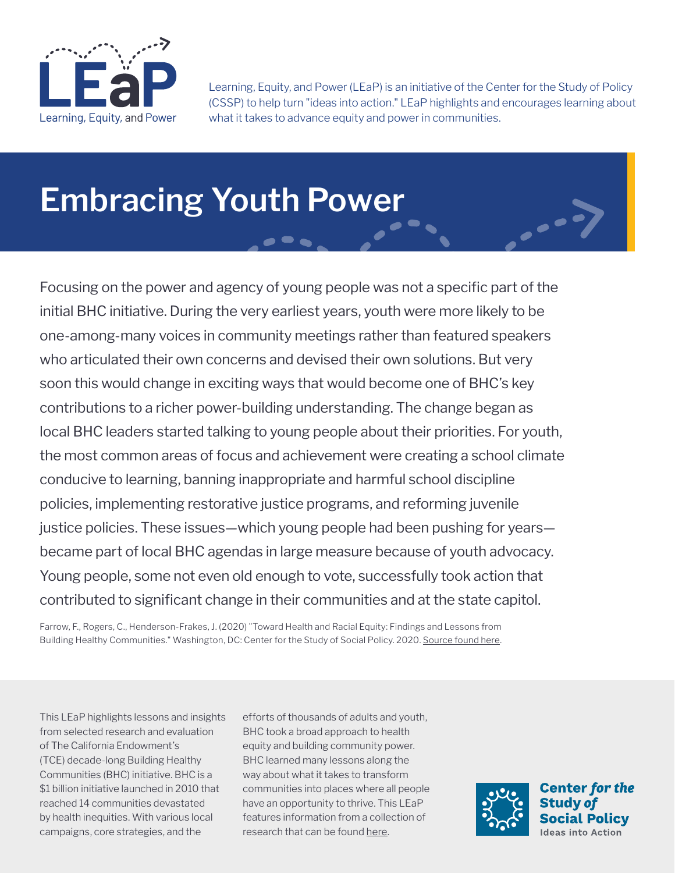

Learning, Equity, and Power (LEaP) is an initiative of the Center for the Study of Policy (CSSP) to help turn "ideas into action." LEaP highlights and encourages learning about what it takes to advance equity and power in communities.

# **Embracing Youth Power**

Focusing on the power and agency of young people was not a specific part of the initial BHC initiative. During the very earliest years, youth were more likely to be one-among-many voices in community meetings rather than featured speakers who articulated their own concerns and devised their own solutions. But very soon this would change in exciting ways that would become one of BHC's key contributions to a richer power-building understanding. The change began as local BHC leaders started talking to young people about their priorities. For youth, the most common areas of focus and achievement were creating a school climate conducive to learning, banning inappropriate and harmful school discipline policies, implementing restorative justice programs, and reforming juvenile justice policies. These issues—which young people had been pushing for years became part of local BHC agendas in large measure because of youth advocacy. Young people, some not even old enough to vote, successfully took action that contributed to significant change in their communities and at the state capitol.

Farrow, F., Rogers, C., Henderson-Frakes, J. (2020) "Toward Health and Racial Equity: Findings and Lessons from Building Healthy Communities." Washington, DC: Center for the Study of Social Policy. 2020. [Source found here.](https://www.calendow.org/app/uploads/2021/03/Toward-Health-and-Racial-Equity-FULL-REPORT-.pdf)

This LEaP highlights lessons and insights from selected research and evaluation of The California Endowment's (TCE) decade-long Building Healthy Communities (BHC) initiative. BHC is a \$1 billion initiative launched in 2010 that reached 14 communities devastated by health inequities. With various local campaigns, core strategies, and the

efforts of thousands of adults and youth, BHC took a broad approach to health equity and building community power. BHC learned many lessons along the way about what it takes to transform communities into places where all people have an opportunity to thrive. This LEaP features information from a collection of research that can be found [here.](https://www.calendow.org/learning-and-engagement/)

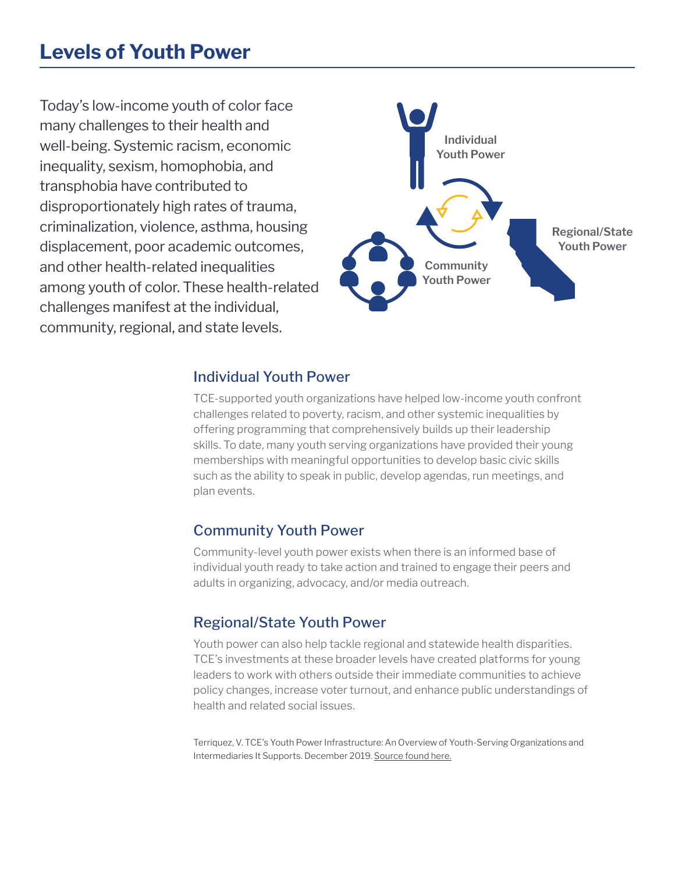### **Levels of Youth Power**

Today's low-income youth of color face many challenges to their health and well-being. Systemic racism, economic inequality, sexism, homophobia, and transphobia have contributed to disproportionately high rates of trauma, criminalization, violence, asthma, housing displacement, poor academic outcomes, and other health-related inequalities among youth of color. These health-related challenges manifest at the individual, community, regional, and state levels.



#### Individual Youth Power

TCE-supported youth organizations have helped low-income youth confront challenges related to poverty, racism, and other systemic inequalities by offering programming that comprehensively builds up their leadership skills. To date, many youth serving organizations have provided their young memberships with meaningful opportunities to develop basic civic skills such as the ability to speak in public, develop agendas, run meetings, and plan events.

#### Community Youth Power

Community-level youth power exists when there is an informed base of individual youth ready to take action and trained to engage their peers and adults in organizing, advocacy, and/or media outreach.

#### Regional/State Youth Power

Youth power can also help tackle regional and statewide health disparities. TCE's investments at these broader levels have created platforms for young leaders to work with others outside their immediate communities to achieve policy changes, increase voter turnout, and enhance public understandings of health and related social issues.

Terriquez, V. TCE's Youth Power Infrastructure: An Overview of Youth-Serving Organizations and Intermediaries It Supports. December 2019. [Source found here.](https://drive.google.com/file/d/1ZQLE9Y2LoOjav6t2XQqCV8BChunDnUgI/view)